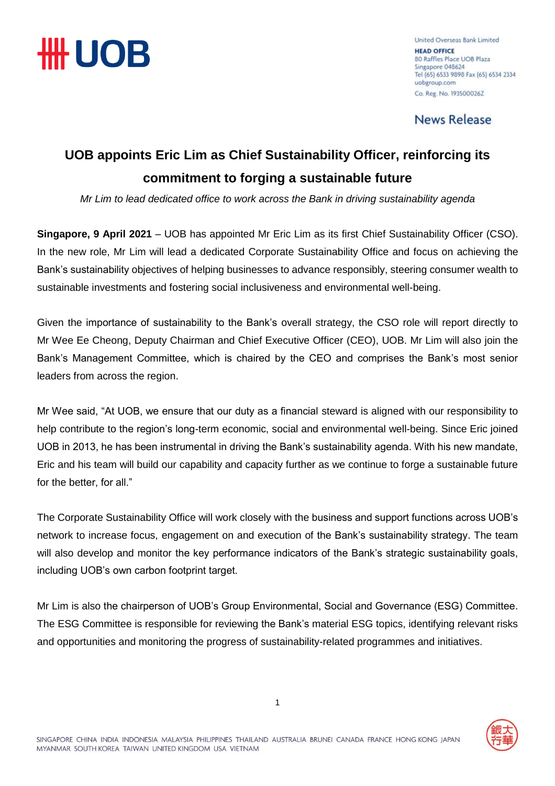

United Overseas Bank Limited **HEAD OFFICE** 80 Raffles Place UOB Plaza Singapore 048624 Tel (65) 6533 9898 Fax (65) 6534 2334 uobgroup.com Co. Reg. No. 1935000262

**News Release** 

## **UOB appoints Eric Lim as Chief Sustainability Officer, reinforcing its commitment to forging a sustainable future**

*Mr Lim to lead dedicated office to work across the Bank in driving sustainability agenda*

**Singapore, 9 April 2021** – UOB has appointed Mr Eric Lim as its first Chief Sustainability Officer (CSO). In the new role, Mr Lim will lead a dedicated Corporate Sustainability Office and focus on achieving the Bank's sustainability objectives of helping businesses to advance responsibly, steering consumer wealth to sustainable investments and fostering social inclusiveness and environmental well-being.

Given the importance of sustainability to the Bank's overall strategy, the CSO role will report directly to Mr Wee Ee Cheong, Deputy Chairman and Chief Executive Officer (CEO), UOB. Mr Lim will also join the Bank's Management Committee, which is chaired by the CEO and comprises the Bank's most senior leaders from across the region.

Mr Wee said, "At UOB, we ensure that our duty as a financial steward is aligned with our responsibility to help contribute to the region's long-term economic, social and environmental well-being. Since Eric joined UOB in 2013, he has been instrumental in driving the Bank's sustainability agenda. With his new mandate, Eric and his team will build our capability and capacity further as we continue to forge a sustainable future for the better, for all."

The Corporate Sustainability Office will work closely with the business and support functions across UOB's network to increase focus, engagement on and execution of the Bank's sustainability strategy. The team will also develop and monitor the key performance indicators of the Bank's strategic sustainability goals, including UOB's own carbon footprint target.

Mr Lim is also the chairperson of UOB's Group Environmental, Social and Governance (ESG) Committee. The ESG Committee is responsible for reviewing the Bank's material ESG topics, identifying relevant risks and opportunities and monitoring the progress of sustainability-related programmes and initiatives.